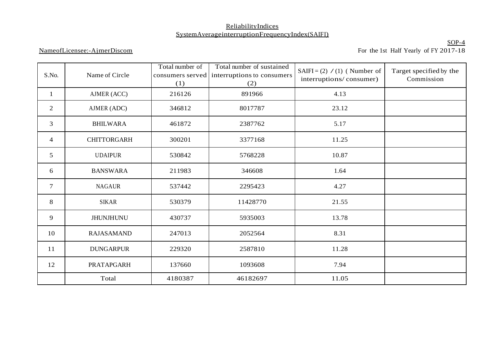## ReliabilityIndices SystemAverageinterruptionFrequencyIndex(SAIFI)

## NameofLicensee:-AjmerDiscom

SOP-4 For the 1st Half Yearly of FY 2017-18

| S.No.          | Name of Circle     | Total number of<br>consumers served<br>(1) | Total number of sustained<br>interruptions to consumers<br>(2) | SAIFI= $(2) / (1)$ (Number of<br>interruptions/consumer) | Target specified by the<br>Commission |
|----------------|--------------------|--------------------------------------------|----------------------------------------------------------------|----------------------------------------------------------|---------------------------------------|
| 1              | AJMER (ACC)        | 216126                                     | 891966                                                         | 4.13                                                     |                                       |
| 2              | AJMER (ADC)        | 346812                                     | 8017787                                                        | 23.12                                                    |                                       |
| $\mathfrak{Z}$ | <b>BHILWARA</b>    | 461872                                     | 2387762                                                        | 5.17                                                     |                                       |
| $\overline{4}$ | <b>CHITTORGARH</b> | 300201                                     | 3377168                                                        | 11.25                                                    |                                       |
| 5              | <b>UDAIPUR</b>     | 530842                                     | 5768228                                                        | 10.87                                                    |                                       |
| 6              | <b>BANSWARA</b>    | 211983                                     | 346608                                                         | 1.64                                                     |                                       |
| $\tau$         | <b>NAGAUR</b>      | 537442                                     | 2295423                                                        | 4.27                                                     |                                       |
| 8              | <b>SIKAR</b>       | 530379                                     | 11428770                                                       | 21.55                                                    |                                       |
| 9              | <b>JHUNJHUNU</b>   | 430737                                     | 5935003                                                        | 13.78                                                    |                                       |
| 10             | <b>RAJASAMAND</b>  | 247013                                     | 2052564                                                        | 8.31                                                     |                                       |
| 11             | <b>DUNGARPUR</b>   | 229320                                     | 2587810                                                        | 11.28                                                    |                                       |
| 12             | PRATAPGARH         | 137660                                     | 1093608                                                        | 7.94                                                     |                                       |
|                | Total              | 4180387                                    | 46182697                                                       | 11.05                                                    |                                       |